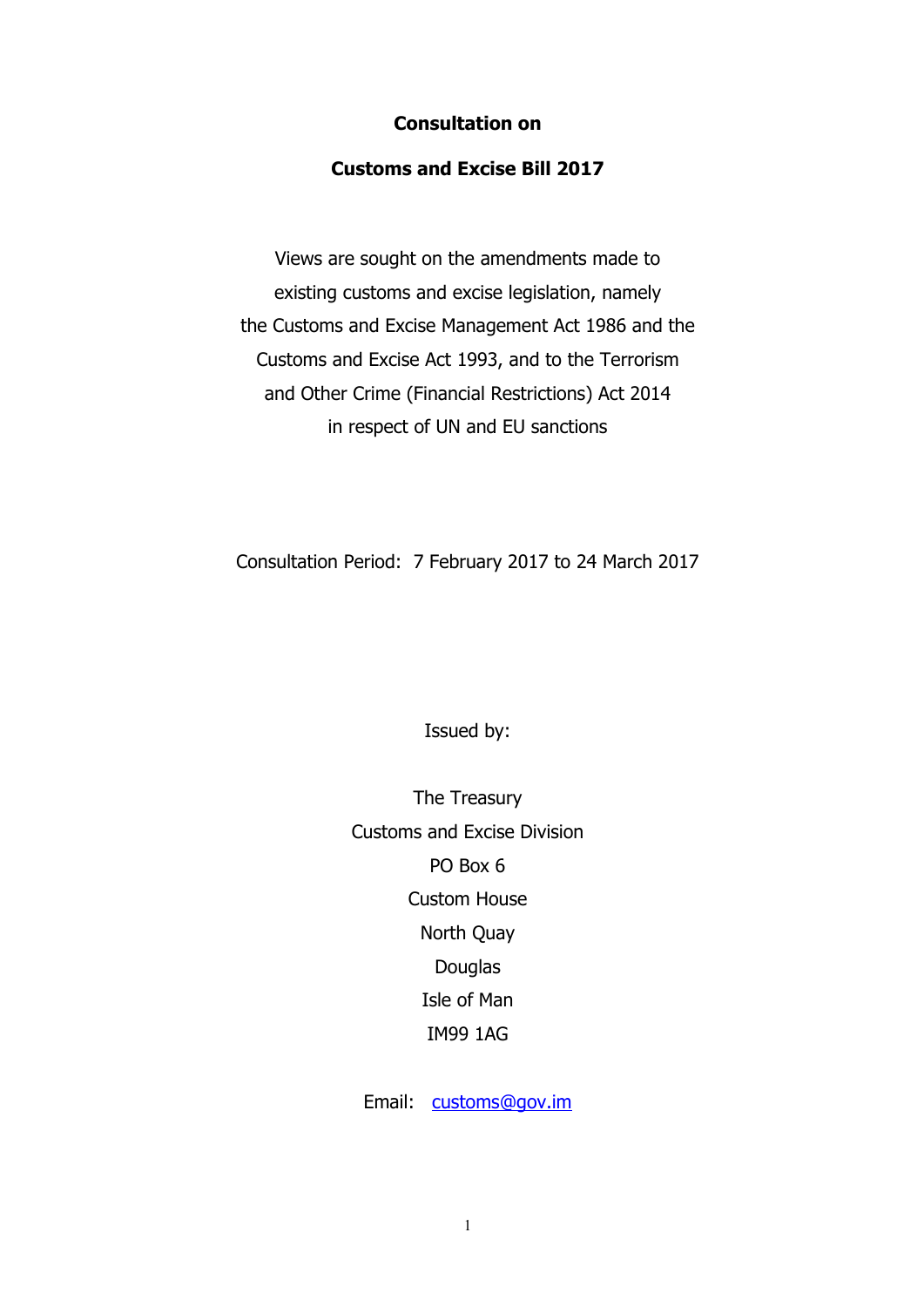#### **Consultation on**

#### **Customs and Excise Bill 2017**

Views are sought on the amendments made to existing customs and excise legislation, namely the Customs and Excise Management Act 1986 and the Customs and Excise Act 1993, and to the Terrorism and Other Crime (Financial Restrictions) Act 2014 in respect of UN and EU sanctions

Consultation Period: 7 February 2017 to 24 March 2017

Issued by:

The Treasury Customs and Excise Division PO Box 6 Custom House North Quay Douglas Isle of Man IM99 1AG

Email: customs@gov.im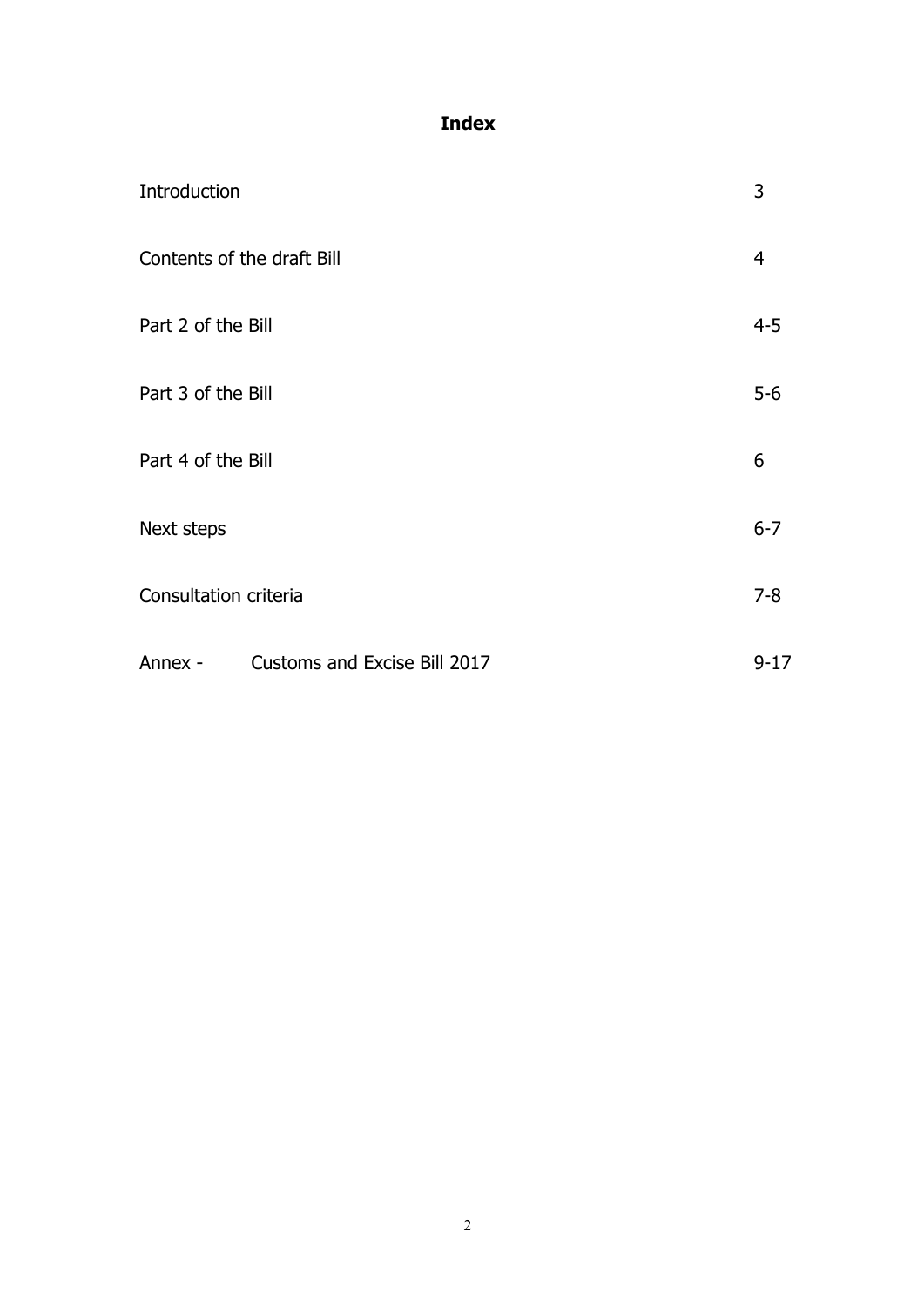# **Index**

| Introduction               |                                     | 3              |
|----------------------------|-------------------------------------|----------------|
| Contents of the draft Bill |                                     | $\overline{4}$ |
| Part 2 of the Bill         |                                     | $4 - 5$        |
| Part 3 of the Bill         |                                     | $5-6$          |
| Part 4 of the Bill         |                                     | 6              |
| Next steps                 |                                     | $6 - 7$        |
| Consultation criteria      |                                     | $7 - 8$        |
| Annex -                    | <b>Customs and Excise Bill 2017</b> | $9 - 17$       |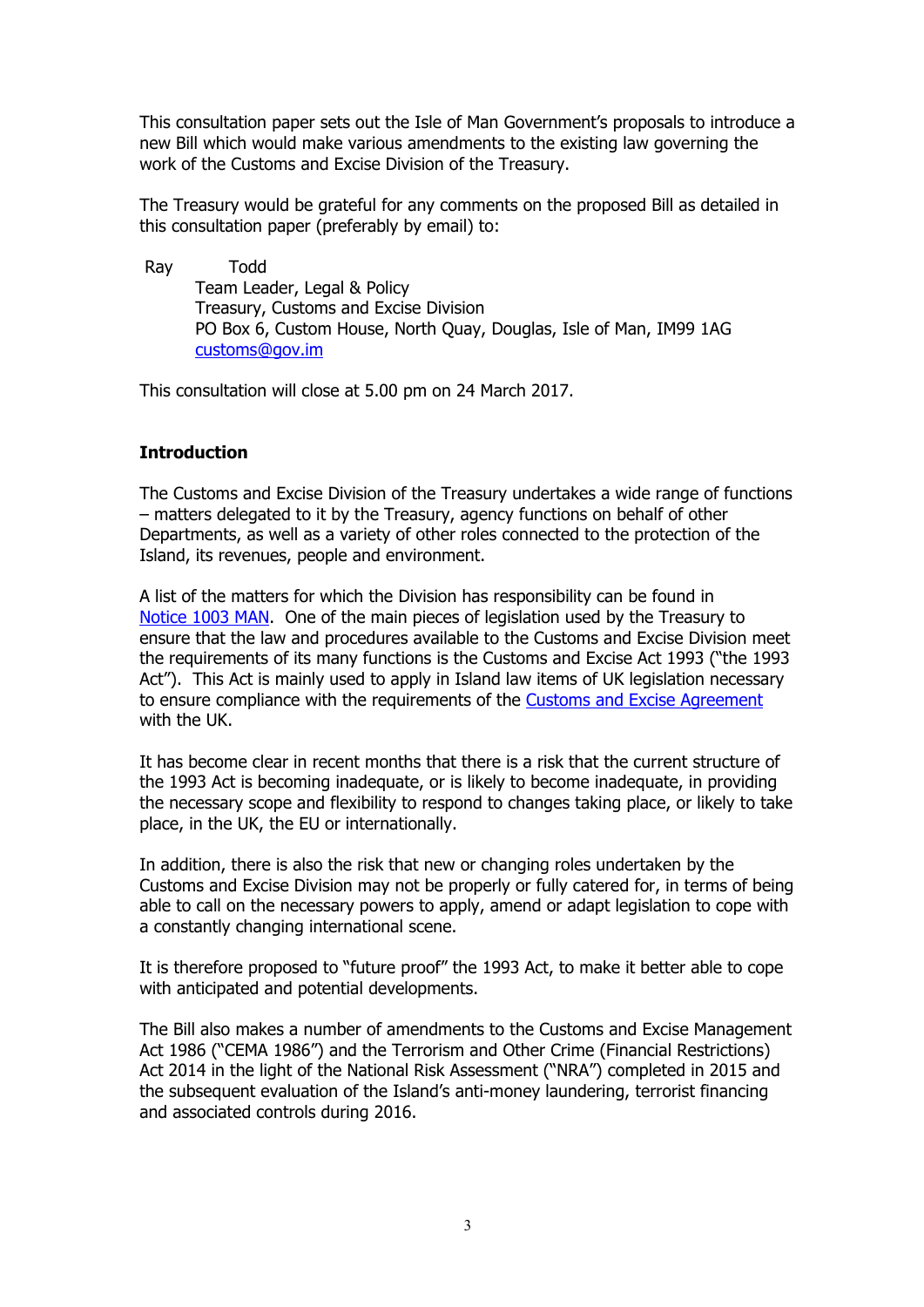This consultation paper sets out the Isle of Man Government's proposals to introduce a new Bill which would make various amendments to the existing law governing the work of the Customs and Excise Division of the Treasury.

The Treasury would be grateful for any comments on the proposed Bill as detailed in this consultation paper (preferably by email) to:

 Ray Todd Team Leader, Legal & Policy Treasury, Customs and Excise Division PO Box 6, Custom House, North Quay, Douglas, Isle of Man, IM99 1AG customs@gov.im

This consultation will close at 5.00 pm on 24 March 2017.

#### **Introduction**

The Customs and Excise Division of the Treasury undertakes a wide range of functions – matters delegated to it by the Treasury, agency functions on behalf of other Departments, as well as a variety of other roles connected to the protection of the Island, its revenues, people and environment.

A list of the matters for which the Division has responsibility can be found in [Notice 1003 MAN.](https://www.gov.im/media/1351807/notice-1003-man-assigned-matters-8-jul-16.pdf) One of the main pieces of legislation used by the Treasury to ensure that the law and procedures available to the Customs and Excise Division meet the requirements of its many functions is the Customs and Excise Act 1993 ("the 1993 Act"). This Act is mainly used to apply in Island law items of UK legislation necessary to ensure compliance with the requirements of the [Customs and Excise Agreement](https://www.gov.im/media/80147/customs_agreement1979.pdf) with the UK.

It has become clear in recent months that there is a risk that the current structure of the 1993 Act is becoming inadequate, or is likely to become inadequate, in providing the necessary scope and flexibility to respond to changes taking place, or likely to take place, in the UK, the EU or internationally.

In addition, there is also the risk that new or changing roles undertaken by the Customs and Excise Division may not be properly or fully catered for, in terms of being able to call on the necessary powers to apply, amend or adapt legislation to cope with a constantly changing international scene.

It is therefore proposed to "future proof" the 1993 Act, to make it better able to cope with anticipated and potential developments.

The Bill also makes a number of amendments to the Customs and Excise Management Act 1986 ("CEMA 1986") and the Terrorism and Other Crime (Financial Restrictions) Act 2014 in the light of the National Risk Assessment ("NRA") completed in 2015 and the subsequent evaluation of the Island's anti-money laundering, terrorist financing and associated controls during 2016.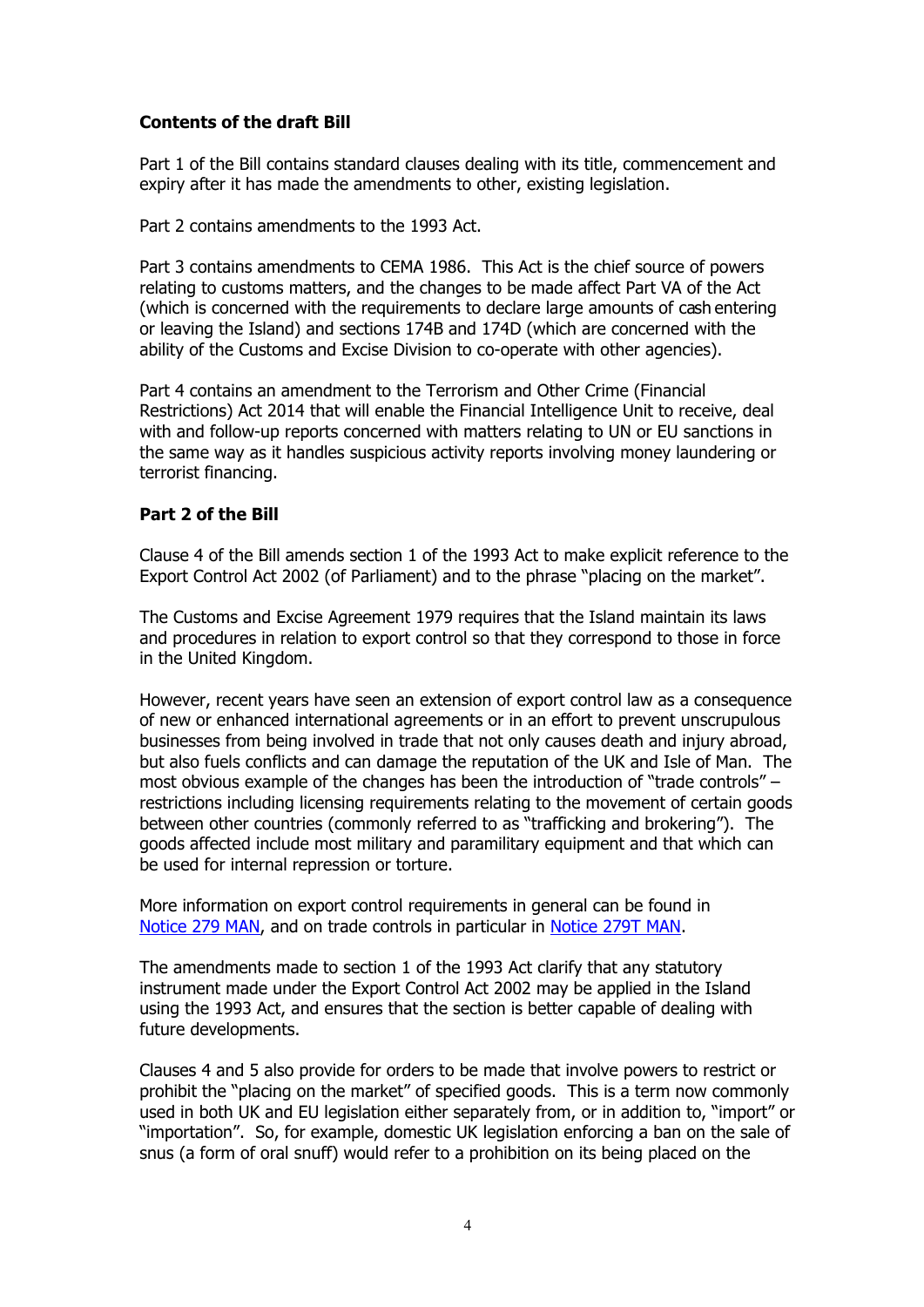#### **Contents of the draft Bill**

Part 1 of the Bill contains standard clauses dealing with its title, commencement and expiry after it has made the amendments to other, existing legislation.

Part 2 contains amendments to the 1993 Act.

Part 3 contains amendments to CEMA 1986. This Act is the chief source of powers relating to customs matters, and the changes to be made affect Part VA of the Act (which is concerned with the requirements to declare large amounts of cash entering or leaving the Island) and sections 174B and 174D (which are concerned with the ability of the Customs and Excise Division to co-operate with other agencies).

Part 4 contains an amendment to the Terrorism and Other Crime (Financial Restrictions) Act 2014 that will enable the Financial Intelligence Unit to receive, deal with and follow-up reports concerned with matters relating to UN or EU sanctions in the same way as it handles suspicious activity reports involving money laundering or terrorist financing.

#### **Part 2 of the Bill**

Clause 4 of the Bill amends section 1 of the 1993 Act to make explicit reference to the Export Control Act 2002 (of Parliament) and to the phrase "placing on the market".

The Customs and Excise Agreement 1979 requires that the Island maintain its laws and procedures in relation to export control so that they correspond to those in force in the United Kingdom.

However, recent years have seen an extension of export control law as a consequence of new or enhanced international agreements or in an effort to prevent unscrupulous businesses from being involved in trade that not only causes death and injury abroad, but also fuels conflicts and can damage the reputation of the UK and Isle of Man. The most obvious example of the changes has been the introduction of "trade controls" – restrictions including licensing requirements relating to the movement of certain goods between other countries (commonly referred to as "trafficking and brokering"). The goods affected include most military and paramilitary equipment and that which can be used for internal repression or torture.

More information on export control requirements in general can be found in [Notice 279 MAN,](https://www.gov.im/media/88875/notice-279-man-export-licensing-controls-20-jan-17.pdf) and on trade controls in particular in [Notice 279T MAN.](https://www.gov.im/media/814275/notice-279t-man-trade-control-licensing-27-10-16.pdf)

The amendments made to section 1 of the 1993 Act clarify that any statutory instrument made under the Export Control Act 2002 may be applied in the Island using the 1993 Act, and ensures that the section is better capable of dealing with future developments.

Clauses 4 and 5 also provide for orders to be made that involve powers to restrict or prohibit the "placing on the market" of specified goods. This is a term now commonly used in both UK and EU legislation either separately from, or in addition to, "import" or "importation". So, for example, domestic UK legislation enforcing a ban on the sale of snus (a form of oral snuff) would refer to a prohibition on its being placed on the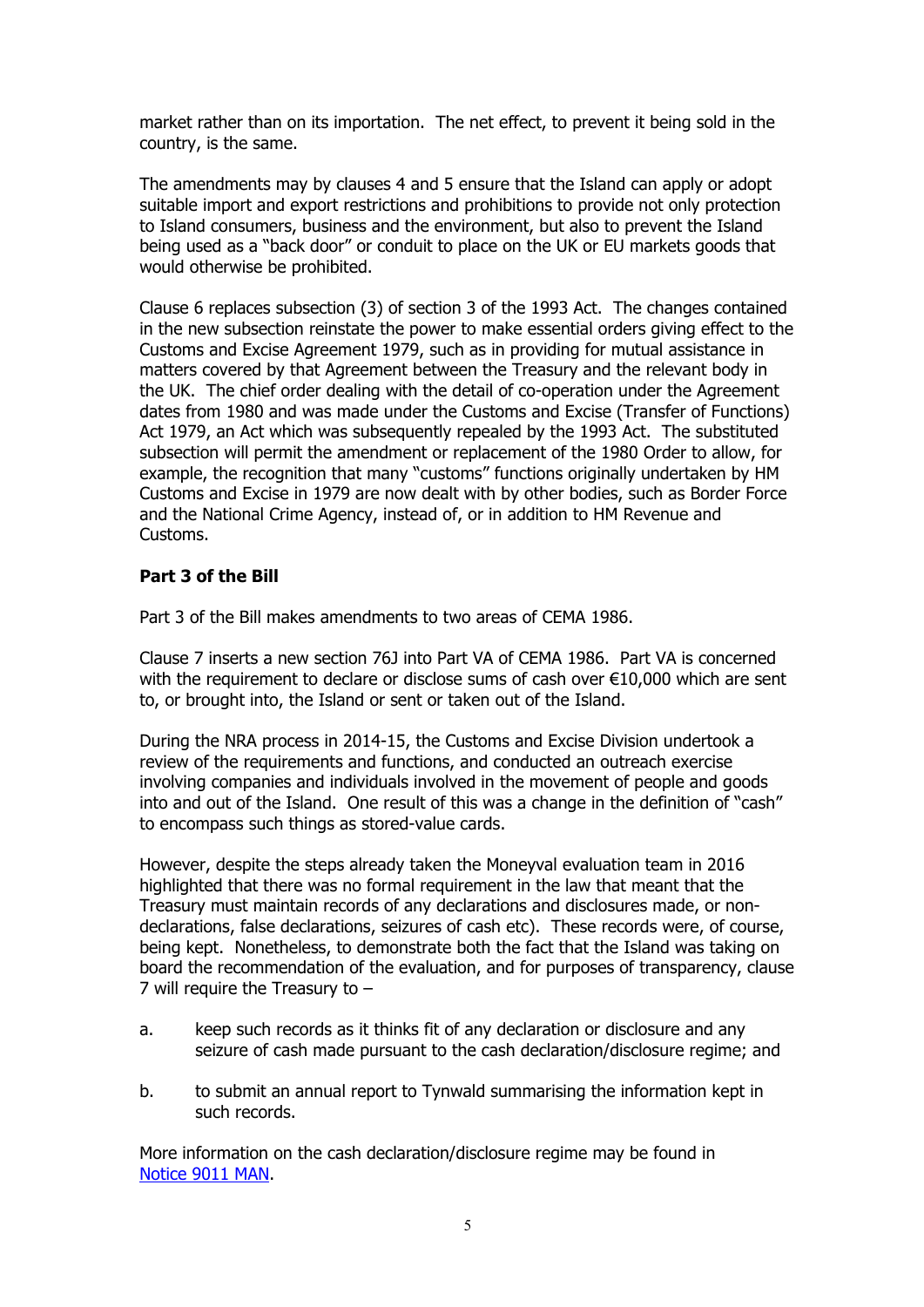market rather than on its importation. The net effect, to prevent it being sold in the country, is the same.

The amendments may by clauses 4 and 5 ensure that the Island can apply or adopt suitable import and export restrictions and prohibitions to provide not only protection to Island consumers, business and the environment, but also to prevent the Island being used as a "back door" or conduit to place on the UK or EU markets goods that would otherwise be prohibited.

Clause 6 replaces subsection (3) of section 3 of the 1993 Act. The changes contained in the new subsection reinstate the power to make essential orders giving effect to the Customs and Excise Agreement 1979, such as in providing for mutual assistance in matters covered by that Agreement between the Treasury and the relevant body in the UK. The chief order dealing with the detail of co-operation under the Agreement dates from 1980 and was made under the Customs and Excise (Transfer of Functions) Act 1979, an Act which was subsequently repealed by the 1993 Act. The substituted subsection will permit the amendment or replacement of the 1980 Order to allow, for example, the recognition that many "customs" functions originally undertaken by HM Customs and Excise in 1979 are now dealt with by other bodies, such as Border Force and the National Crime Agency, instead of, or in addition to HM Revenue and Customs.

#### **Part 3 of the Bill**

Part 3 of the Bill makes amendments to two areas of CEMA 1986.

Clause 7 inserts a new section 76J into Part VA of CEMA 1986. Part VA is concerned with the requirement to declare or disclose sums of cash over  $\epsilon$ 10,000 which are sent to, or brought into, the Island or sent or taken out of the Island.

During the NRA process in 2014-15, the Customs and Excise Division undertook a review of the requirements and functions, and conducted an outreach exercise involving companies and individuals involved in the movement of people and goods into and out of the Island. One result of this was a change in the definition of "cash" to encompass such things as stored-value cards.

However, despite the steps already taken the Moneyval evaluation team in 2016 highlighted that there was no formal requirement in the law that meant that the Treasury must maintain records of any declarations and disclosures made, or nondeclarations, false declarations, seizures of cash etc). These records were, of course, being kept. Nonetheless, to demonstrate both the fact that the Island was taking on board the recommendation of the evaluation, and for purposes of transparency, clause 7 will require the Treasury to –

- a. keep such records as it thinks fit of any declaration or disclosure and any seizure of cash made pursuant to the cash declaration/disclosure regime; and
- b. to submit an annual report to Tynwald summarising the information kept in such records.

More information on the cash declaration/disclosure regime may be found in [Notice 9011 MAN.](https://www.gov.im/media/90826/notice-9011-carrying-cash-in-and-out-of-iom-2-june-2015.pdf)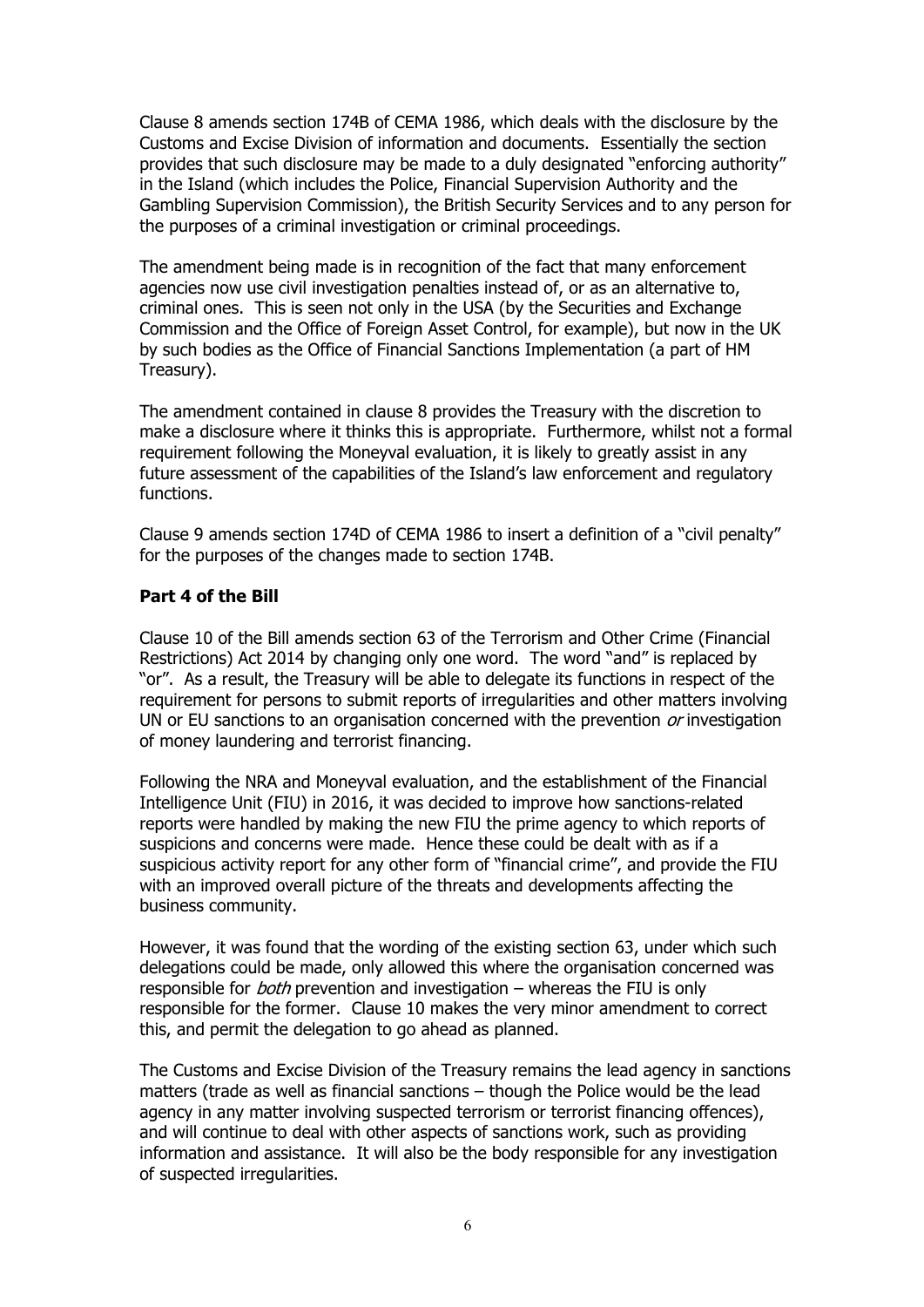Clause 8 amends section 174B of CEMA 1986, which deals with the disclosure by the Customs and Excise Division of information and documents. Essentially the section provides that such disclosure may be made to a duly designated "enforcing authority" in the Island (which includes the Police, Financial Supervision Authority and the Gambling Supervision Commission), the British Security Services and to any person for the purposes of a criminal investigation or criminal proceedings.

The amendment being made is in recognition of the fact that many enforcement agencies now use civil investigation penalties instead of, or as an alternative to, criminal ones. This is seen not only in the USA (by the Securities and Exchange Commission and the Office of Foreign Asset Control, for example), but now in the UK by such bodies as the Office of Financial Sanctions Implementation (a part of HM Treasury).

The amendment contained in clause 8 provides the Treasury with the discretion to make a disclosure where it thinks this is appropriate. Furthermore, whilst not a formal requirement following the Moneyval evaluation, it is likely to greatly assist in any future assessment of the capabilities of the Island's law enforcement and regulatory functions.

Clause 9 amends section 174D of CEMA 1986 to insert a definition of a "civil penalty" for the purposes of the changes made to section 174B.

#### **Part 4 of the Bill**

Clause 10 of the Bill amends section 63 of the Terrorism and Other Crime (Financial Restrictions) Act 2014 by changing only one word. The word "and" is replaced by "or". As a result, the Treasury will be able to delegate its functions in respect of the requirement for persons to submit reports of irregularities and other matters involving UN or EU sanctions to an organisation concerned with the prevention  $or$  investigation of money laundering and terrorist financing.

Following the NRA and Moneyval evaluation, and the establishment of the Financial Intelligence Unit (FIU) in 2016, it was decided to improve how sanctions-related reports were handled by making the new FIU the prime agency to which reports of suspicions and concerns were made. Hence these could be dealt with as if a suspicious activity report for any other form of "financial crime", and provide the FIU with an improved overall picture of the threats and developments affecting the business community.

However, it was found that the wording of the existing section 63, under which such delegations could be made, only allowed this where the organisation concerned was responsible for *both* prevention and investigation – whereas the FIU is only responsible for the former. Clause 10 makes the very minor amendment to correct this, and permit the delegation to go ahead as planned.

The Customs and Excise Division of the Treasury remains the lead agency in sanctions matters (trade as well as financial sanctions – though the Police would be the lead agency in any matter involving suspected terrorism or terrorist financing offences), and will continue to deal with other aspects of sanctions work, such as providing information and assistance. It will also be the body responsible for any investigation of suspected irregularities.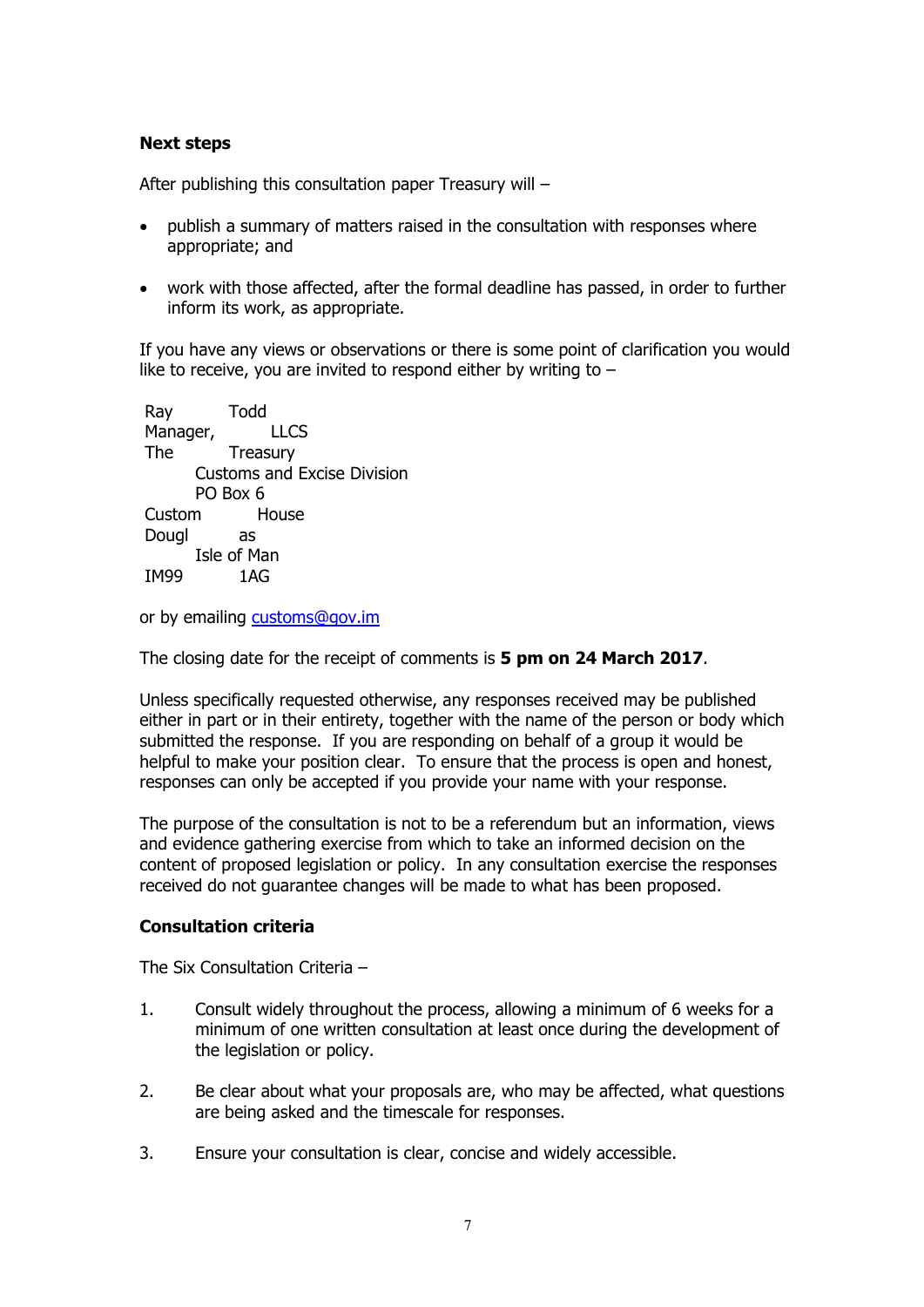#### **Next steps**

After publishing this consultation paper Treasury will –

- publish a summary of matters raised in the consultation with responses where appropriate; and
- work with those affected, after the formal deadline has passed, in order to further inform its work, as appropriate.

If you have any views or observations or there is some point of clarification you would like to receive, you are invited to respond either by writing to  $-$ 

 Ray Todd Manager, LLCS The Treasury Customs and Excise Division PO Box 6 Custom House Dougl as Isle of Man IM99 1AG

or by emailing customs@gov.im

The closing date for the receipt of comments is **5 pm on 24 March 2017**.

Unless specifically requested otherwise, any responses received may be published either in part or in their entirety, together with the name of the person or body which submitted the response. If you are responding on behalf of a group it would be helpful to make your position clear. To ensure that the process is open and honest, responses can only be accepted if you provide your name with your response.

The purpose of the consultation is not to be a referendum but an information, views and evidence gathering exercise from which to take an informed decision on the content of proposed legislation or policy. In any consultation exercise the responses received do not guarantee changes will be made to what has been proposed.

#### **Consultation criteria**

The Six Consultation Criteria –

- 1. Consult widely throughout the process, allowing a minimum of 6 weeks for a minimum of one written consultation at least once during the development of the legislation or policy.
- 2. Be clear about what your proposals are, who may be affected, what questions are being asked and the timescale for responses.
- 3. Ensure your consultation is clear, concise and widely accessible.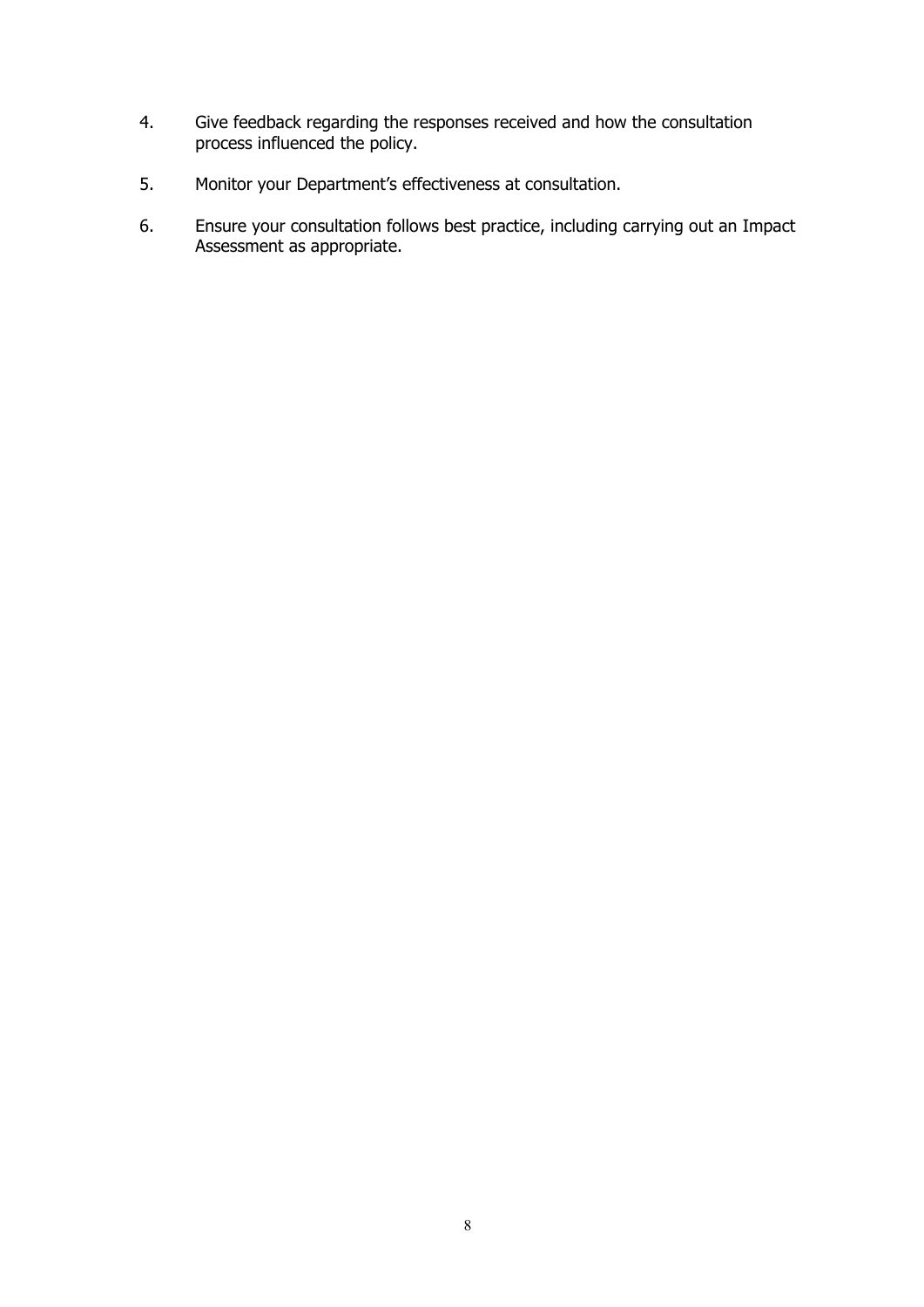- 4. Give feedback regarding the responses received and how the consultation process influenced the policy.
- 5. Monitor your Department's effectiveness at consultation.
- 6. Ensure your consultation follows best practice, including carrying out an Impact Assessment as appropriate.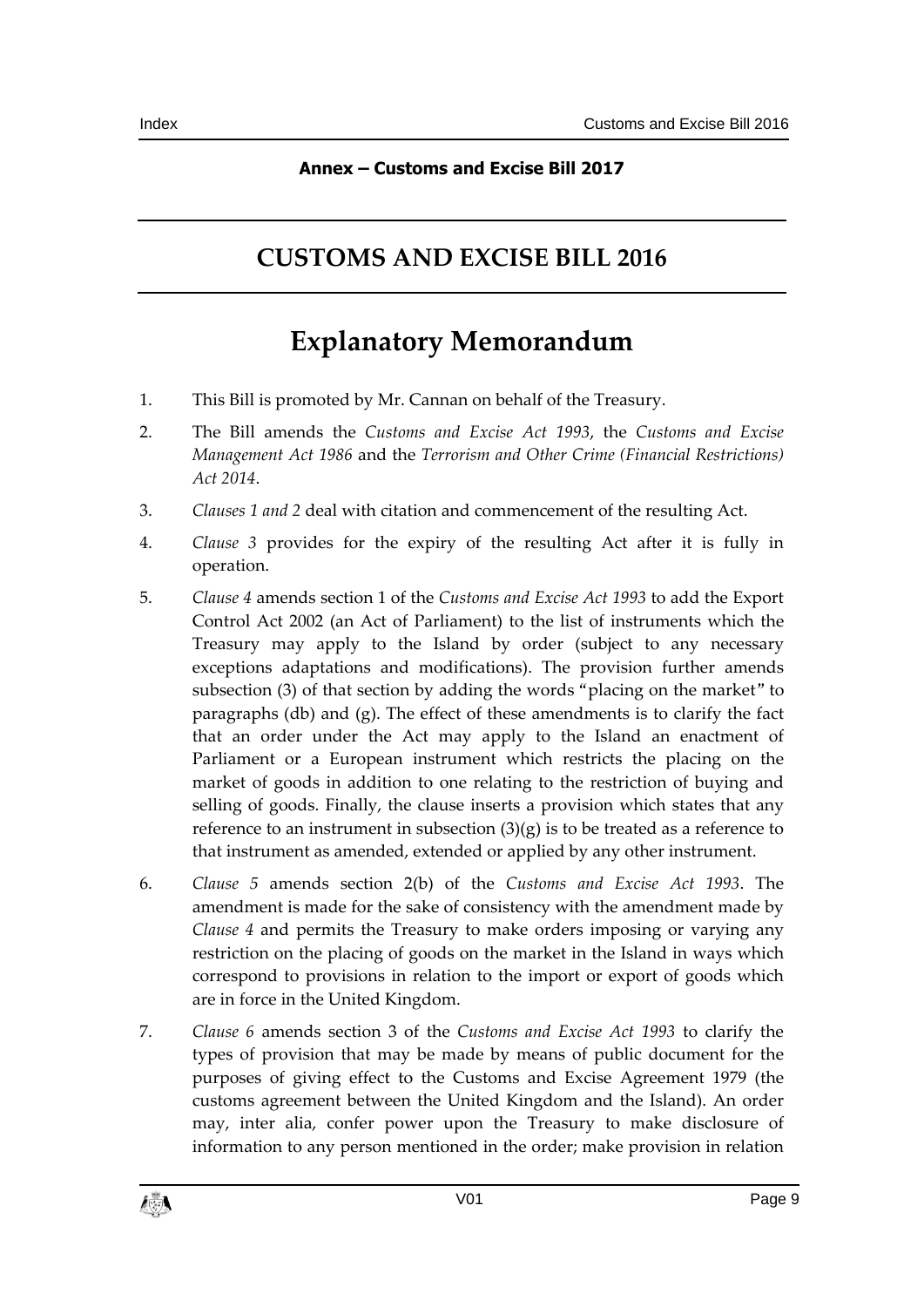### **Annex – Customs and Excise Bill 2017**

# **CUSTOMS AND EXCISE BILL 2016**

# **Explanatory Memorandum**

- 1. This Bill is promoted by Mr. Cannan on behalf of the Treasury.
- 2. The Bill amends the *Customs and Excise Act 1993*, the *Customs and Excise Management Act 1986* and the *Terrorism and Other Crime (Financial Restrictions) Act 2014*.
- 3. *Clauses 1 and 2* deal with citation and commencement of the resulting Act.
- 4. *Clause 3* provides for the expiry of the resulting Act after it is fully in operation.
- 5. *Clause 4* amends section 1 of the *Customs and Excise Act 1993* to add the Export Control Act 2002 (an Act of Parliament) to the list of instruments which the Treasury may apply to the Island by order (subject to any necessary exceptions adaptations and modifications). The provision further amends subsection (3) of that section by adding the words "placing on the market" to paragraphs (db) and (g). The effect of these amendments is to clarify the fact that an order under the Act may apply to the Island an enactment of Parliament or a European instrument which restricts the placing on the market of goods in addition to one relating to the restriction of buying and selling of goods. Finally, the clause inserts a provision which states that any reference to an instrument in subsection  $(3)(g)$  is to be treated as a reference to that instrument as amended, extended or applied by any other instrument.
- 6. *Clause 5* amends section 2(b) of the *Customs and Excise Act 1993*. The amendment is made for the sake of consistency with the amendment made by *Clause 4* and permits the Treasury to make orders imposing or varying any restriction on the placing of goods on the market in the Island in ways which correspond to provisions in relation to the import or export of goods which are in force in the United Kingdom.
- 7. *Clause 6* amends section 3 of the *Customs and Excise Act 1993* to clarify the types of provision that may be made by means of public document for the purposes of giving effect to the Customs and Excise Agreement 1979 (the customs agreement between the United Kingdom and the Island). An order may, inter alia, confer power upon the Treasury to make disclosure of information to any person mentioned in the order; make provision in relation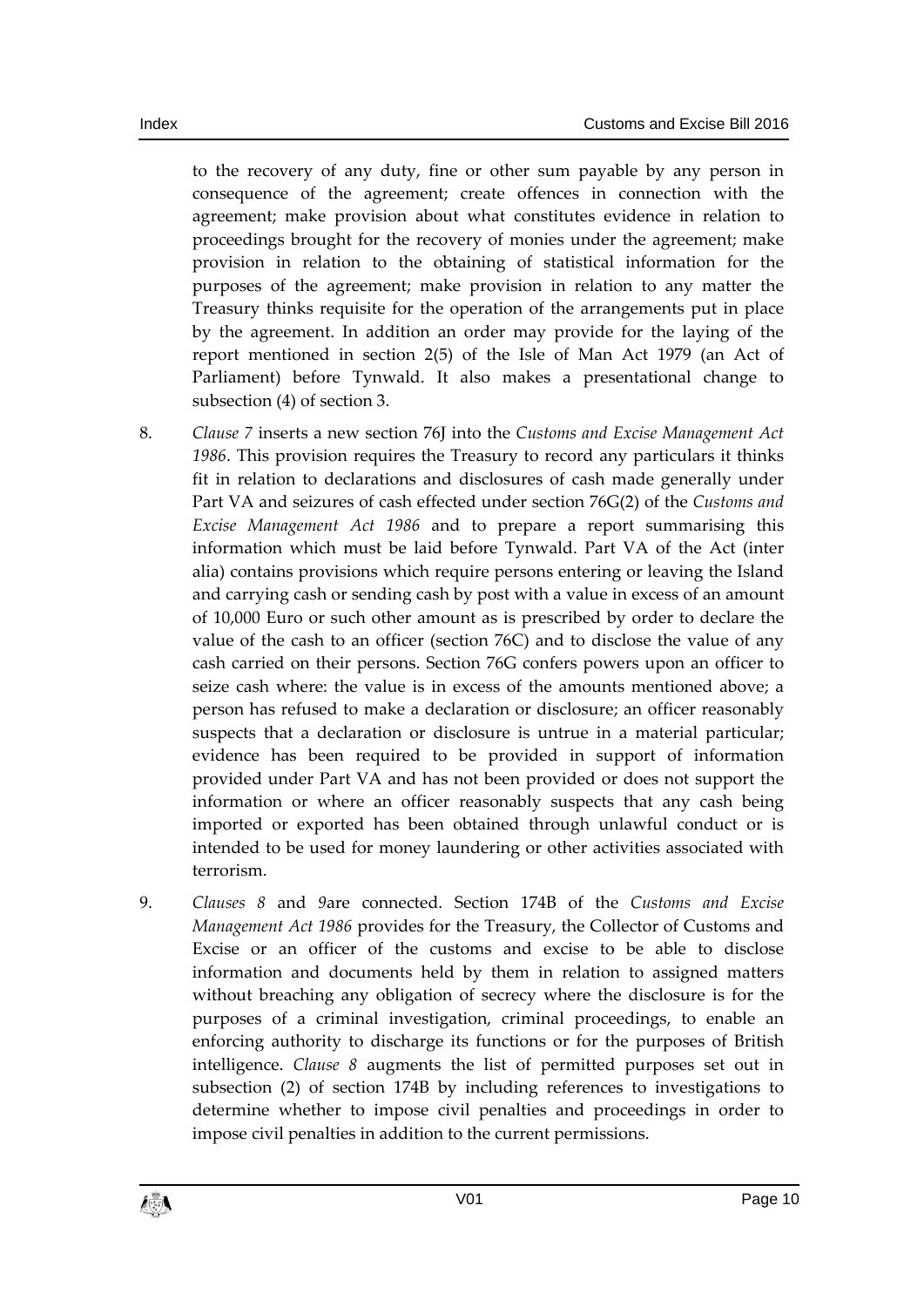to the recovery of any duty, fine or other sum payable by any person in consequence of the agreement; create offences in connection with the agreement; make provision about what constitutes evidence in relation to proceedings brought for the recovery of monies under the agreement; make provision in relation to the obtaining of statistical information for the purposes of the agreement; make provision in relation to any matter the Treasury thinks requisite for the operation of the arrangements put in place by the agreement. In addition an order may provide for the laying of the report mentioned in section 2(5) of the Isle of Man Act 1979 (an Act of Parliament) before Tynwald. It also makes a presentational change to subsection (4) of section 3.

- 8. *Clause 7* inserts a new section 76J into the *Customs and Excise Management Act 1986*. This provision requires the Treasury to record any particulars it thinks fit in relation to declarations and disclosures of cash made generally under Part VA and seizures of cash effected under section 76G(2) of the *Customs and Excise Management Act 1986* and to prepare a report summarising this information which must be laid before Tynwald. Part VA of the Act (inter alia) contains provisions which require persons entering or leaving the Island and carrying cash or sending cash by post with a value in excess of an amount of 10,000 Euro or such other amount as is prescribed by order to declare the value of the cash to an officer (section 76C) and to disclose the value of any cash carried on their persons. Section 76G confers powers upon an officer to seize cash where: the value is in excess of the amounts mentioned above; a person has refused to make a declaration or disclosure; an officer reasonably suspects that a declaration or disclosure is untrue in a material particular; evidence has been required to be provided in support of information provided under Part VA and has not been provided or does not support the information or where an officer reasonably suspects that any cash being imported or exported has been obtained through unlawful conduct or is intended to be used for money laundering or other activities associated with terrorism.
- 9. *Clauses 8* and *9*are connected. Section 174B of the *Customs and Excise Management Act 1986* provides for the Treasury, the Collector of Customs and Excise or an officer of the customs and excise to be able to disclose information and documents held by them in relation to assigned matters without breaching any obligation of secrecy where the disclosure is for the purposes of a criminal investigation, criminal proceedings, to enable an enforcing authority to discharge its functions or for the purposes of British intelligence. *Clause 8* augments the list of permitted purposes set out in subsection (2) of section 174B by including references to investigations to determine whether to impose civil penalties and proceedings in order to impose civil penalties in addition to the current permissions.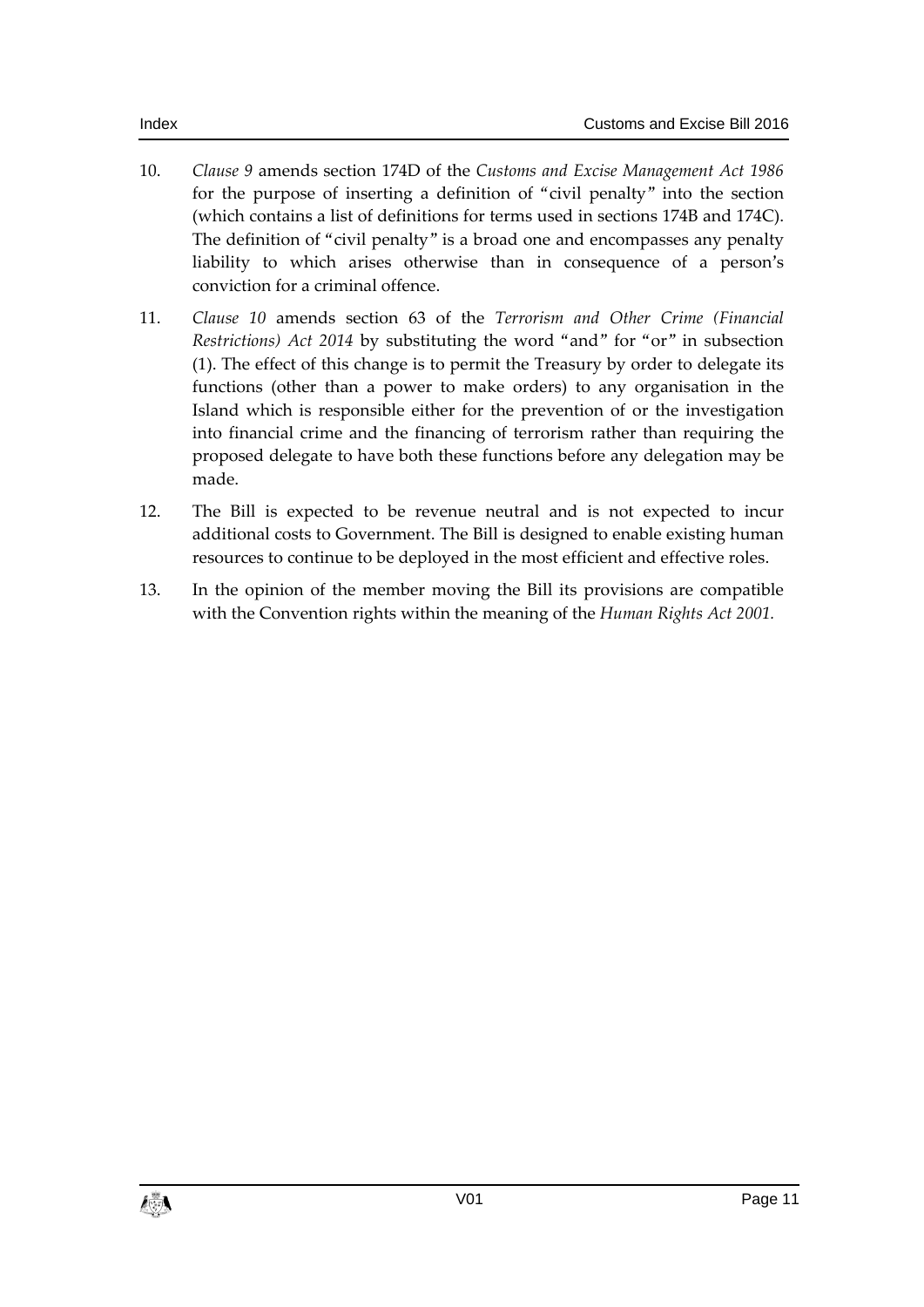- 10. *Clause 9* amends section 174D of the *Customs and Excise Management Act 1986* for the purpose of inserting a definition of "civil penalty" into the section (which contains a list of definitions for terms used in sections 174B and 174C). The definition of "civil penalty" is a broad one and encompasses any penalty liability to which arises otherwise than in consequence of a person's conviction for a criminal offence.
- 11. *Clause 10* amends section 63 of the *Terrorism and Other Crime (Financial Restrictions) Act 2014* by substituting the word "and" for "or" in subsection (1). The effect of this change is to permit the Treasury by order to delegate its functions (other than a power to make orders) to any organisation in the Island which is responsible either for the prevention of or the investigation into financial crime and the financing of terrorism rather than requiring the proposed delegate to have both these functions before any delegation may be made.
- 12. The Bill is expected to be revenue neutral and is not expected to incur additional costs to Government. The Bill is designed to enable existing human resources to continue to be deployed in the most efficient and effective roles.
- 13. In the opinion of the member moving the Bill its provisions are compatible with the Convention rights within the meaning of the *Human Rights Act 2001.*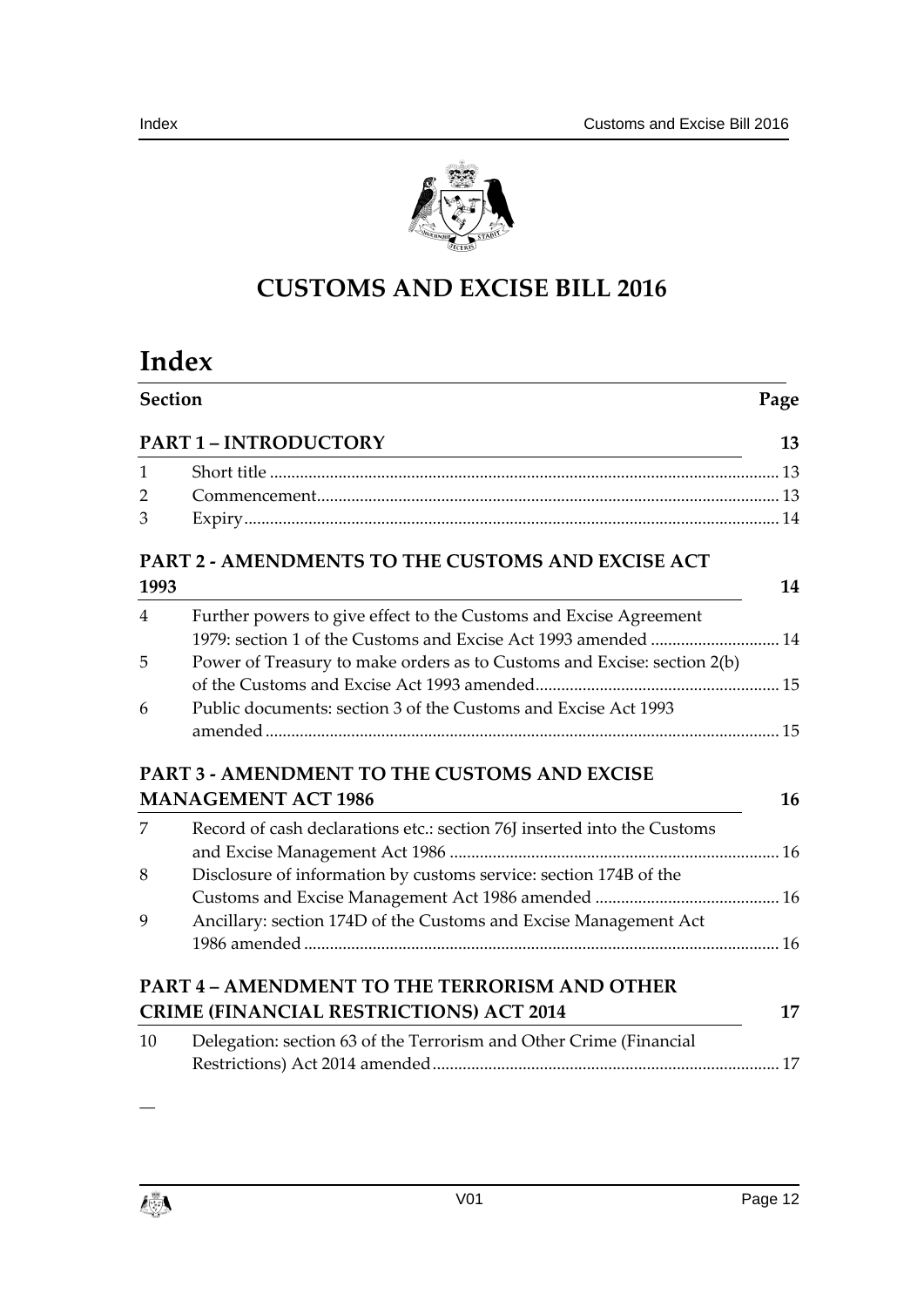



# **CUSTOMS AND EXCISE BILL 2016**

# **Index**

|                | <b>Section</b><br><b>PART 1 - INTRODUCTORY</b>                                                                                      |    |
|----------------|-------------------------------------------------------------------------------------------------------------------------------------|----|
|                |                                                                                                                                     |    |
| $\mathbf{1}$   |                                                                                                                                     |    |
| $\overline{2}$ |                                                                                                                                     |    |
| 3              |                                                                                                                                     |    |
|                | PART 2 - AMENDMENTS TO THE CUSTOMS AND EXCISE ACT                                                                                   |    |
| 1993           |                                                                                                                                     | 14 |
| $\overline{4}$ | Further powers to give effect to the Customs and Excise Agreement<br>1979: section 1 of the Customs and Excise Act 1993 amended  14 |    |
| 5              | Power of Treasury to make orders as to Customs and Excise: section 2(b)                                                             |    |
|                |                                                                                                                                     |    |
| 6              | Public documents: section 3 of the Customs and Excise Act 1993                                                                      |    |
|                |                                                                                                                                     |    |
|                | <b>PART 3 - AMENDMENT TO THE CUSTOMS AND EXCISE</b>                                                                                 |    |
|                | <b>MANAGEMENT ACT 1986</b>                                                                                                          | 16 |
| 7              | Record of cash declarations etc.: section 76J inserted into the Customs                                                             |    |
|                |                                                                                                                                     |    |
| 8              | Disclosure of information by customs service: section 174B of the                                                                   |    |
|                |                                                                                                                                     |    |
| 9              | Ancillary: section 174D of the Customs and Excise Management Act                                                                    |    |
|                |                                                                                                                                     |    |
|                | <b>PART 4 - AMENDMENT TO THE TERRORISM AND OTHER</b>                                                                                |    |
|                | <b>CRIME (FINANCIAL RESTRICTIONS) ACT 2014</b>                                                                                      | 17 |
| 10             | Delegation: section 63 of the Terrorism and Other Crime (Financial                                                                  |    |
|                |                                                                                                                                     |    |



―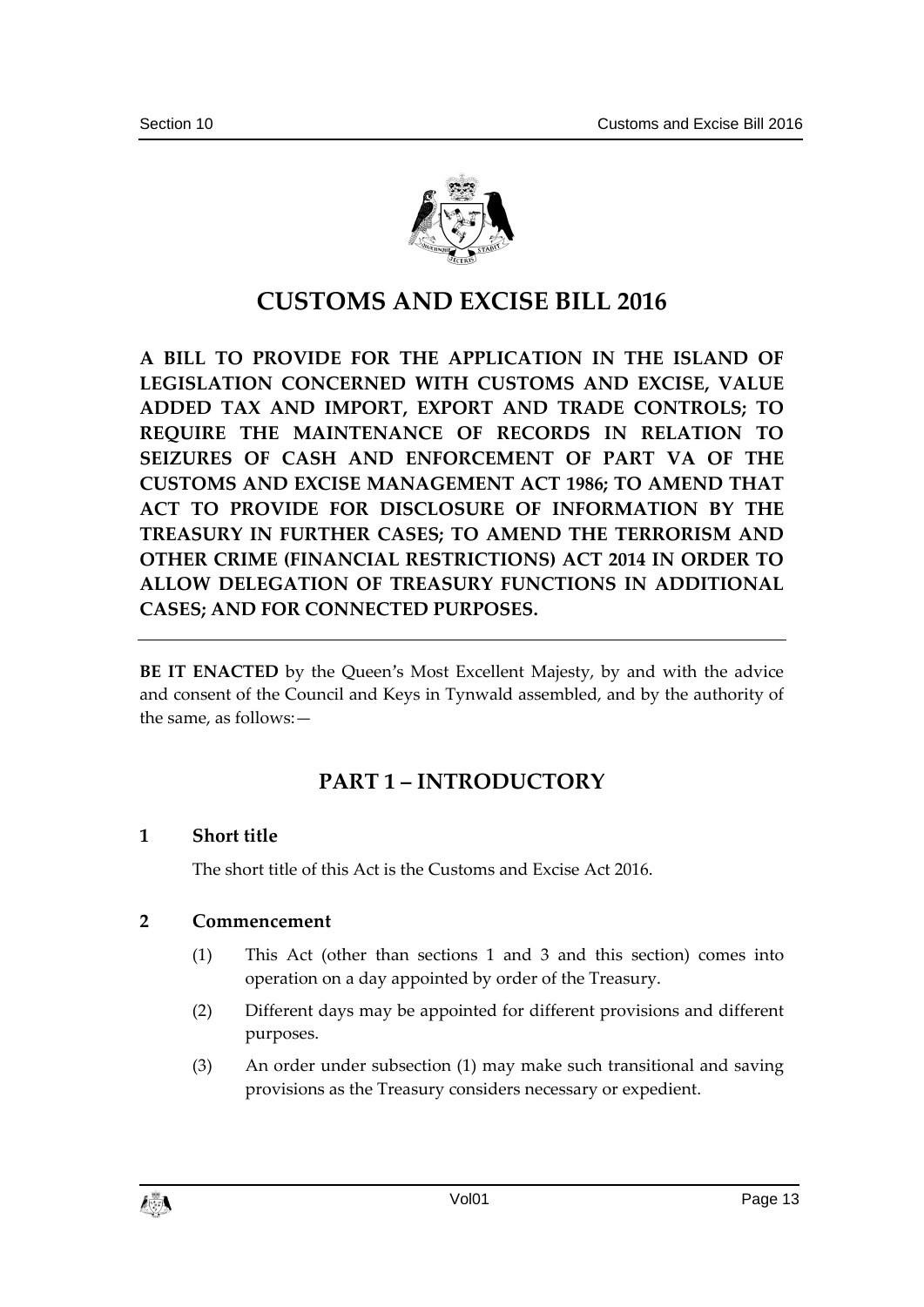

# **CUSTOMS AND EXCISE BILL 2016**

**A BILL TO PROVIDE FOR THE APPLICATION IN THE ISLAND OF LEGISLATION CONCERNED WITH CUSTOMS AND EXCISE, VALUE ADDED TAX AND IMPORT, EXPORT AND TRADE CONTROLS; TO REQUIRE THE MAINTENANCE OF RECORDS IN RELATION TO SEIZURES OF CASH AND ENFORCEMENT OF PART VA OF THE CUSTOMS AND EXCISE MANAGEMENT ACT 1986; TO AMEND THAT ACT TO PROVIDE FOR DISCLOSURE OF INFORMATION BY THE TREASURY IN FURTHER CASES; TO AMEND THE TERRORISM AND OTHER CRIME (FINANCIAL RESTRICTIONS) ACT 2014 IN ORDER TO ALLOW DELEGATION OF TREASURY FUNCTIONS IN ADDITIONAL CASES; AND FOR CONNECTED PURPOSES.** 

**BE IT ENACTED** by the Queen's Most Excellent Majesty, by and with the advice and consent of the Council and Keys in Tynwald assembled, and by the authority of the same, as follows:—

## **PART 1 – INTRODUCTORY**

#### **1 Short title**

The short title of this Act is the Customs and Excise Act 2016.

#### **2 Commencement**

- (1) This Act (other than sections 1 and 3 and this section) comes into operation on a day appointed by order of the Treasury.
- (2) Different days may be appointed for different provisions and different purposes.
- (3) An order under subsection (1) may make such transitional and saving provisions as the Treasury considers necessary or expedient.

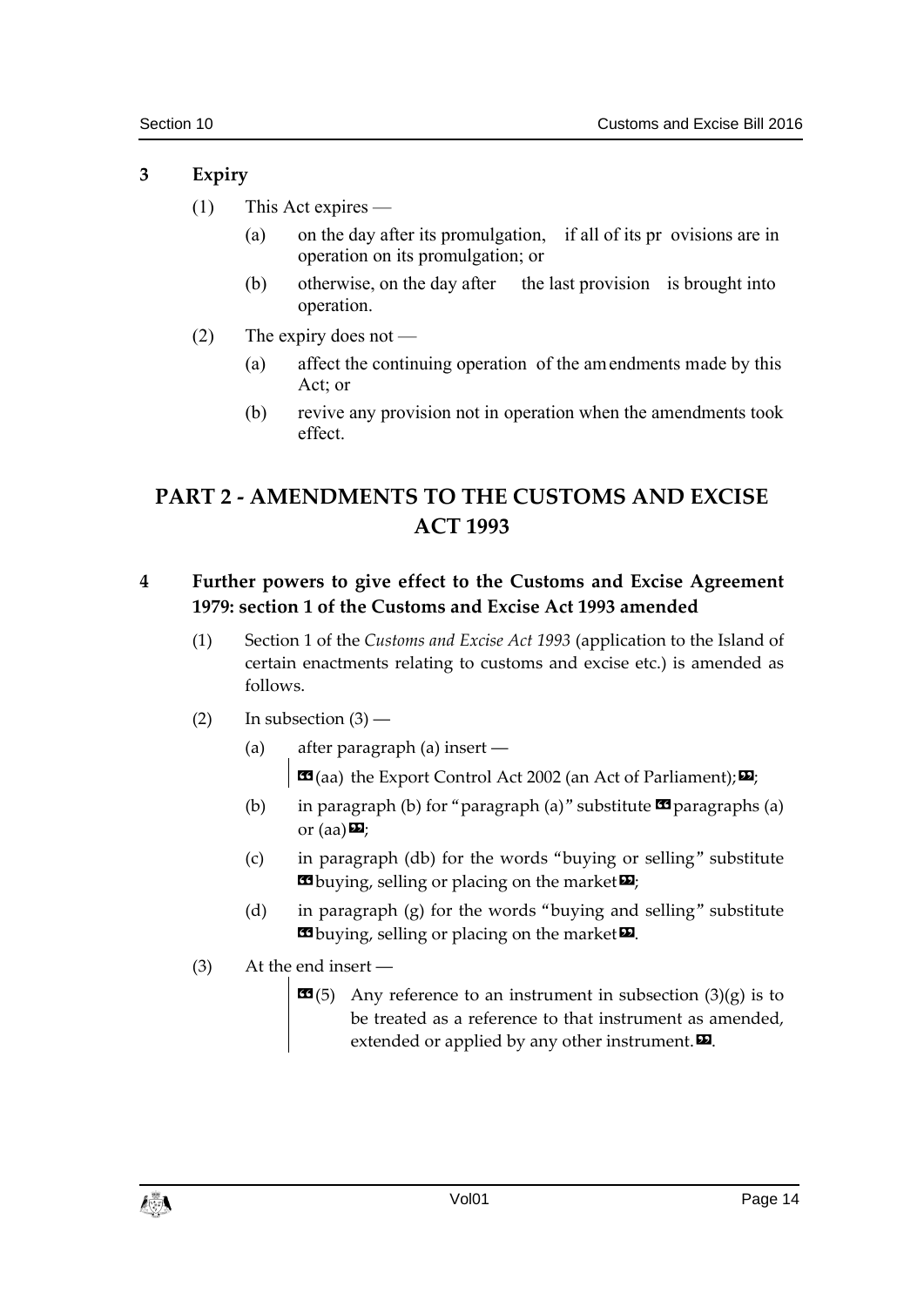#### **3 Expiry**

- (1) This Act expires
	- (a) on the day after its promulgation, if all of its pr ovisions are in operation on its promulgation; or
	- (b) otherwise, on the day after the last provision is brought into operation.
- (2) The expiry does not
	- (a) affect the continuing operation of the amendments made by this Act; or
	- (b) revive any provision not in operation when the amendments took effect.

# **PART 2 - AMENDMENTS TO THE CUSTOMS AND EXCISE ACT 1993**

### **4 Further powers to give effect to the Customs and Excise Agreement 1979: section 1 of the Customs and Excise Act 1993 amended**

- (1) Section 1 of the *Customs and Excise Act 1993* (application to the Island of certain enactments relating to customs and excise etc.) is amended as follows.
- $(2)$  In subsection  $(3)$ 
	- (a) after paragraph (a) insert ―  $\text{CS}$ (aa) the Export Control Act 2002 (an Act of Parliament);  $\text{D}$ ;
	- (b) in paragraph (b) for "paragraph (a)" substitute  $\mathbf{\mathfrak{B}}$  paragraphs (a) or (aa) $\mathbf{E}$ ;
	- (c) in paragraph (db) for the words "buying or selling" substitute **E**buying, selling or placing on the market  $\mathbf{E}$ ;
	- (d) in paragraph (g) for the words "buying and selling" substitute **E**buying, selling or placing on the market **D**.
- (3) At the end insert ―
	- $\mathbf{G}(5)$  Any reference to an instrument in subsection  $(3)(g)$  is to be treated as a reference to that instrument as amended, extended or applied by any other instrument. $\boldsymbol{\mathsf{\Xi}}$ .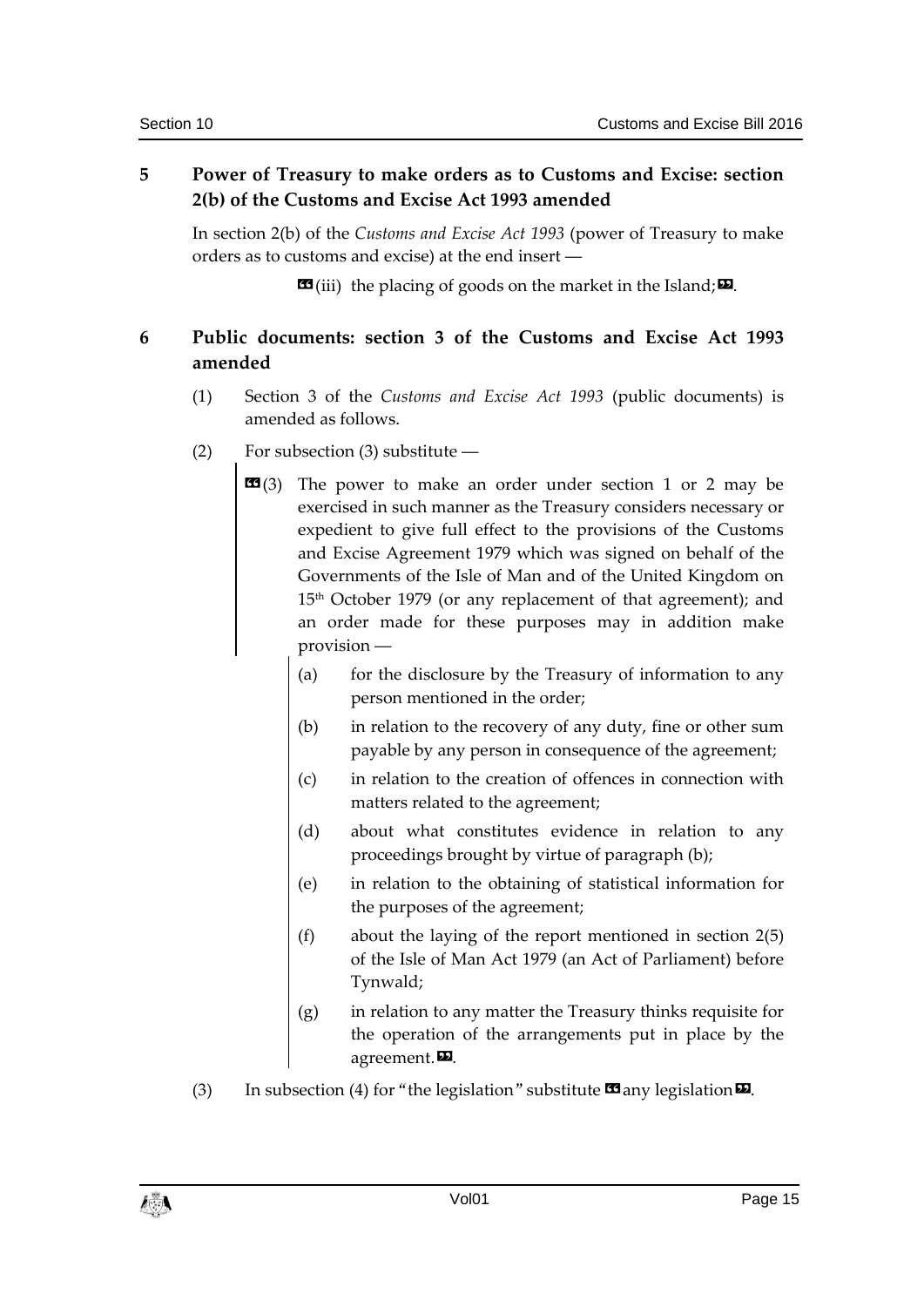### **5 Power of Treasury to make orders as to Customs and Excise: section 2(b) of the Customs and Excise Act 1993 amended**

In section 2(b) of the *Customs and Excise Act 1993* (power of Treasury to make orders as to customs and excise) at the end insert ―

 $\mathbf{G}$ (iii) the placing of goods on the market in the Island;  $\mathbf{E}$ .

## **6 Public documents: section 3 of the Customs and Excise Act 1993 amended**

- (1) Section 3 of the *Customs and Excise Act 1993* (public documents) is amended as follows.
- (2) For subsection (3) substitute ―
	- $\mathbf{G}(3)$  The power to make an order under section 1 or 2 may be exercised in such manner as the Treasury considers necessary or expedient to give full effect to the provisions of the Customs and Excise Agreement 1979 which was signed on behalf of the Governments of the Isle of Man and of the United Kingdom on 15<sup>th</sup> October 1979 (or any replacement of that agreement); and an order made for these purposes may in addition make provision ―
		- (a) for the disclosure by the Treasury of information to any person mentioned in the order;
		- (b) in relation to the recovery of any duty, fine or other sum payable by any person in consequence of the agreement;
		- (c) in relation to the creation of offences in connection with matters related to the agreement;
		- (d) about what constitutes evidence in relation to any proceedings brought by virtue of paragraph (b);
		- (e) in relation to the obtaining of statistical information for the purposes of the agreement;
		- (f) about the laying of the report mentioned in section 2(5) of the Isle of Man Act 1979 (an Act of Parliament) before Tynwald;
		- (g) in relation to any matter the Treasury thinks requisite for the operation of the arrangements put in place by the agreement.<sup>D.</sup>
- (3) In subsection (4) for "the legislation" substitute  $\Box$  any legislation  $\Box$ .

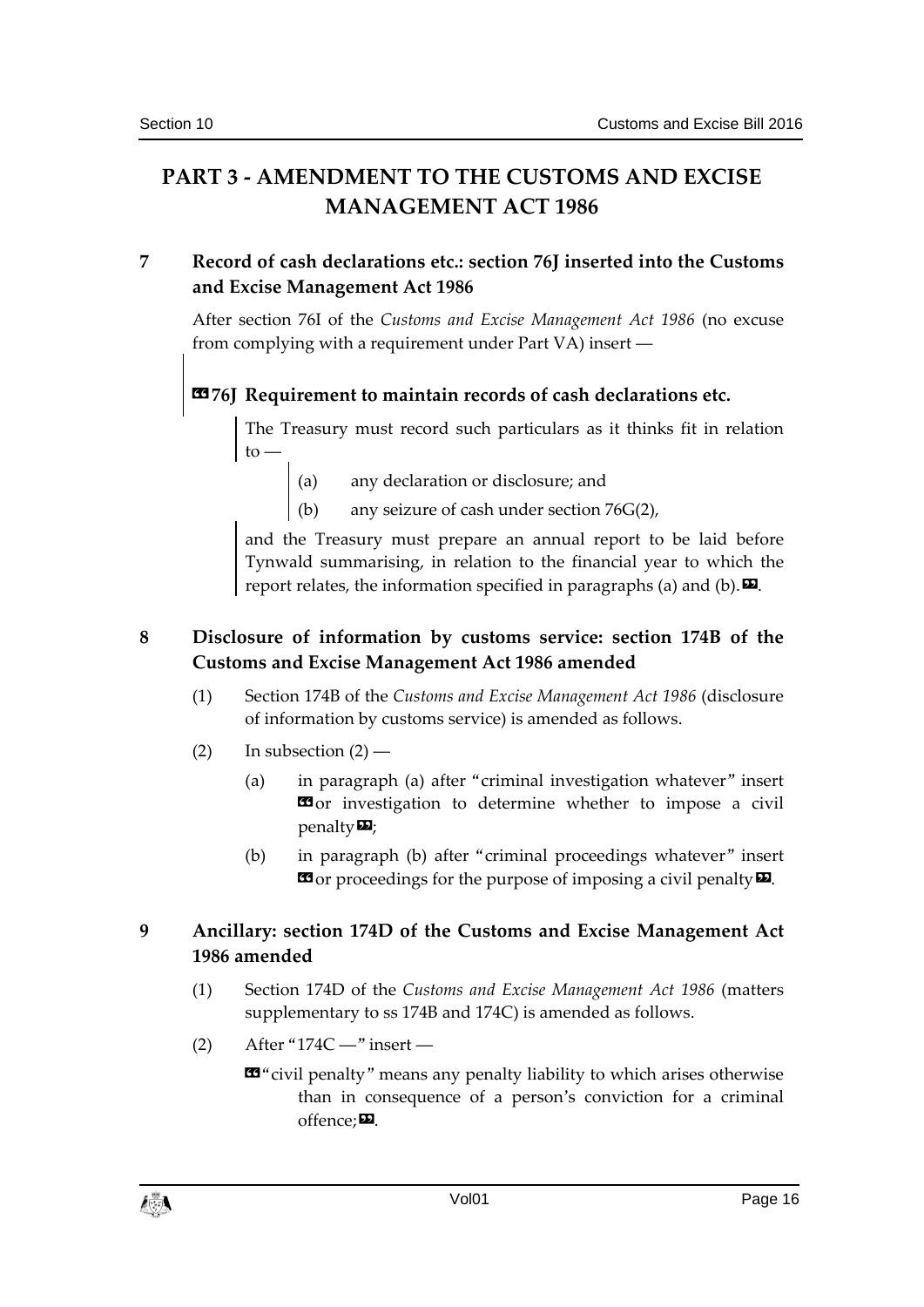# **PART 3 - AMENDMENT TO THE CUSTOMS AND EXCISE MANAGEMENT ACT 1986**

### **7 Record of cash declarations etc.: section 76J inserted into the Customs and Excise Management Act 1986**

After section 76I of the *Customs and Excise Management Act 1986* (no excuse from complying with a requirement under Part VA) insert ―

# **«76J Requirement to maintain records of cash declarations etc.**

The Treasury must record such particulars as it thinks fit in relation  $to -$ 

(a) any declaration or disclosure; and

(b) any seizure of cash under section 76G(2),

and the Treasury must prepare an annual report to be laid before Tynwald summarising, in relation to the financial year to which the report relates, the information specified in paragraphs (a) and (b).  $\Box$ 

## **8 Disclosure of information by customs service: section 174B of the Customs and Excise Management Act 1986 amended**

- (1) Section 174B of the *Customs and Excise Management Act 1986* (disclosure of information by customs service) is amended as follows.
- (2) In subsection  $(2)$ 
	- (a) in paragraph (a) after "criminal investigation whatever" insert **ED** or investigation to determine whether to impose a civil penalty»;
	- (b) in paragraph (b) after "criminal proceedings whatever" insert  $\mathbf{G}$  or proceedings for the purpose of imposing a civil penalty  $\mathbf{E}$ .

## **9 Ancillary: section 174D of the Customs and Excise Management Act 1986 amended**

- (1) Section 174D of the *Customs and Excise Management Act 1986* (matters supplementary to ss 174B and 174C) is amended as follows.
- $(2)$  After "174C —" insert
	- «"civil penalty" means any penalty liability to which arises otherwise than in consequence of a person's conviction for a criminal  $offence:  $\blacksquare$$